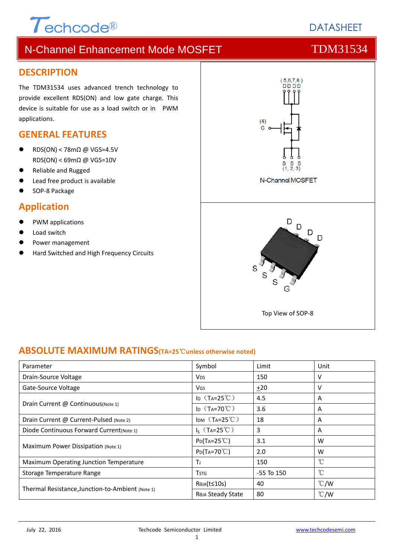# $\tau$ <sub>echcode®</sub>

# **DATASHEFT**

# N-Channel Enhancement Mode MOSFET TOM31534

### **DESCRIPTION**

The TDM31534 uses advanced trench technology to provide excellent RDS(ON) and low gate charge. This device is suitable for use as a load switch or in PWM applications.

### **GENERAL FEATURES**

- RDS(ON) < 78mΩ @ VGS=4.5V RDS(ON) < 69mΩ @ VGS=10V
- Reliable and Rugged
- Lead free product is available
- SOP‐8 Package

### **Application**

- PWM applications
- Load switch
- Power management
- Hard Switched and High Frequency Circuits



### **ABSOLUTE MAXIMUM RATINGS(TA=25**℃**unless otherwise noted)**

| Parameter                                        | Symbol                                    | Limit          | Unit          |
|--------------------------------------------------|-------------------------------------------|----------------|---------------|
| Drain-Source Voltage                             | <b>V<sub>DS</sub></b>                     | 150            | v             |
| Gate-Source Voltage                              | <b>VGS</b>                                | ±20            | v             |
|                                                  | ID $(T_A=25^{\circ}C)$                    | 4.5            | A             |
| Drain Current @ Continuous(Note 1)               | ID $(T_A=70^{\circ}C)$                    | 3.6            | A             |
| Drain Current @ Current-Pulsed (Note 2)          | IDM $(T_A=25^{\circ}C)$                   | 18             | A             |
| Diode Continuous Forward Current (Note 1)        | $I_S$ (T <sub>A</sub> =25 <sup>°</sup> C) | 3              | A             |
| Maximum Power Dissipation (Note 1)               | $P_{D}(T_{A}=25^{\circ}C)$                | 3.1            | W             |
|                                                  | $P_{D}(Ta=70^{\circ}C)$                   | 2.0            | W             |
| Maximum Operating Junction Temperature           | Τı                                        | 150            | °C            |
| Storage Temperature Range                        | <b>T</b> <sub>STG</sub>                   | $-55$ To $150$ | $^{\circ}$ C  |
|                                                  | R <sub>θJA</sub> (t≤10s)                  | 40             | $\degree$ C/W |
| Thermal Resistance, Junction-to-Ambient (Note 1) | Reja Steady State                         | 80             | $\degree$ C/W |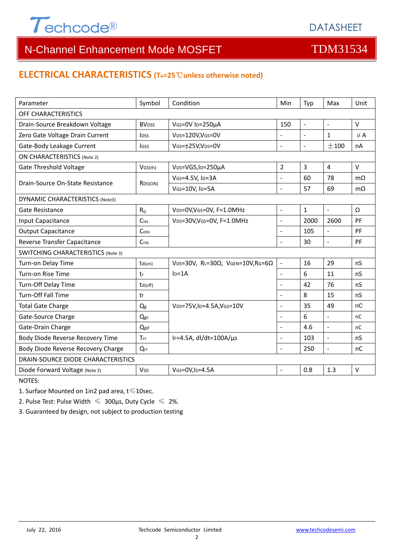

### **ELECTRICAL CHARACTERISTICS (TA=25**℃**unless otherwise noted)**

| Parameter                                 | Symbol                   | Condition                                         | Min                 | Typ            | Max                      | Unit          |  |  |
|-------------------------------------------|--------------------------|---------------------------------------------------|---------------------|----------------|--------------------------|---------------|--|--|
| OFF CHARACTERISTICS                       |                          |                                                   |                     |                |                          |               |  |  |
| Drain-Source Breakdown Voltage            | <b>BV</b> <sub>DSS</sub> | VGS=0V ID=250µA                                   | 150                 | $\blacksquare$ | $\blacksquare$           | $\vee$        |  |  |
| Zero Gate Voltage Drain Current           | <b>l</b> <sub>DSS</sub>  | VDS=120V,VGS=0V                                   | ÷,                  | $\blacksquare$ | $\mathbf{1}$             | $\mu$ A       |  |  |
| Gate-Body Leakage Current                 | lgss                     | VGS=±25V,VDS=0V                                   | $\overline{a}$      | $\mathbb{L}$   | ±100                     | nA            |  |  |
| <b>ON CHARACTERISTICS (Note 2)</b>        |                          |                                                   |                     |                |                          |               |  |  |
| <b>Gate Threshold Voltage</b>             | VGS(th)                  | V <sub>DS</sub> =VGS, I <sub>D</sub> =250µA       | $\overline{2}$      | 3              | $\overline{4}$           | $\vee$        |  |  |
| Drain-Source On-State Resistance          |                          | VGS=4.5V, ID=3A                                   | L.                  | 60             | 78                       | $m\Omega$     |  |  |
|                                           | RDS(ON)                  | VGS=10V, ID=5A                                    | $\overline{a}$      | 57             | 69                       | $m\Omega$     |  |  |
| <b>DYNAMIC CHARACTERISTICS (Note3)</b>    |                          |                                                   |                     |                |                          |               |  |  |
| Gate Resistance                           | $R_G$                    | VDS=0V, VGS=0V, F=1.0MHz                          | $\overline{a}$      | $\mathbf{1}$   | $\omega$                 | Ω             |  |  |
| Input Capacitance                         | Ciss                     | VDS=30V, VGS=0V, F=1.0MHz                         | $\overline{a}$      | 2000           | 2600                     | PF            |  |  |
| <b>Output Capacitance</b>                 | Coss                     |                                                   |                     | 105            | $\frac{1}{2}$            | PF            |  |  |
| Reverse Transfer Capacitance              | Crss                     |                                                   |                     | 30             | $\overline{a}$           | PF            |  |  |
| <b>SWITCHING CHARACTERISTICS (Note 3)</b> |                          |                                                   |                     |                |                          |               |  |  |
| Turn-on Delay Time                        | td(on)                   | VDS=30V, RL=30 $\Omega$ , VGEN=10V, RG=6 $\Omega$ | $\bar{\mathcal{L}}$ | 16             | 29                       | nS            |  |  |
| Turn-on Rise Time                         | tr                       | $ID=1A$                                           | $\overline{a}$      | 6              | 11                       | nS            |  |  |
| Turn-Off Delay Time                       | td(off)                  |                                                   |                     | 42             | 76                       | nS            |  |  |
| Turn-Off Fall Time                        | tf                       |                                                   |                     | 8              | 15                       | nS            |  |  |
| <b>Total Gate Charge</b>                  | Qg                       | VDS=75V,ID=4.5A,VGS=10V                           | $\overline{a}$      | 35             | 49                       | nC            |  |  |
| Gate-Source Charge                        | Qgs                      |                                                   | L.                  | 6              | $\overline{\phantom{a}}$ | nC            |  |  |
| Gate-Drain Charge                         | Qgd                      |                                                   | $\overline{a}$      | 4.6            | $\overline{a}$           | <sub>nC</sub> |  |  |
| Body Diode Reverse Recovery Time          | Trr                      | IF=4.5A, $dI/dt=100A/\mu s$                       | $\overline{a}$      | 103            | $\overline{a}$           | nS            |  |  |
| Body Diode Reverse Recovery Charge        | $Q_{rr}$                 |                                                   | $\overline{a}$      | 250            | $\equiv$                 | nC            |  |  |
| DRAIN-SOURCE DIODE CHARACTERISTICS        |                          |                                                   |                     |                |                          |               |  |  |
| Diode Forward Voltage (Note 2)            | <b>V</b> sp              | $V$ GS=0V, Is=4.5A                                |                     | 0.8            | 1.3                      | $\vee$        |  |  |

NOTES:

1. Surface Mounted on 1in2 pad area, t≤10sec.

2. Pulse Test: Pulse Width  $\leq 300$ μs, Duty Cycle  $\leq 2\%$ .

3. Guaranteed by design, not subject to production testing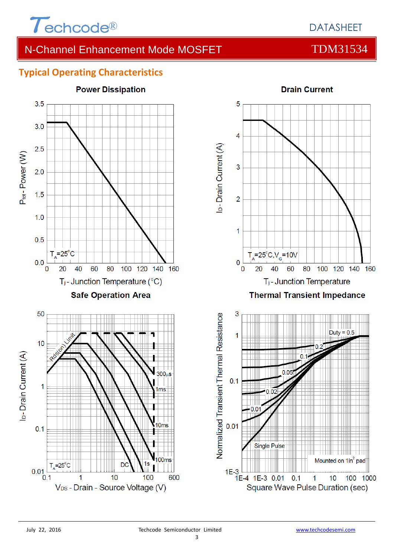

## **Typical Operating Characteristics**





Single Pulse Mounted on 1in<sup>2</sup> pad  $1E-3$  |  $1E-4$  1E-3 0.01  $0.1$  $\overline{1}$  $10$ 

Square Wave Pulse Duration (sec)

100 1000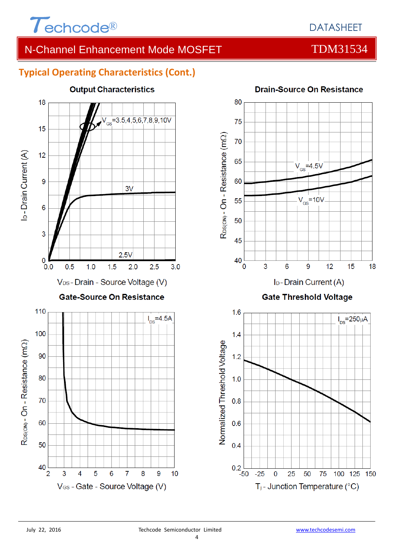

# **Typical Operating Characteristics (Cont.)**



### **Output Characteristics**

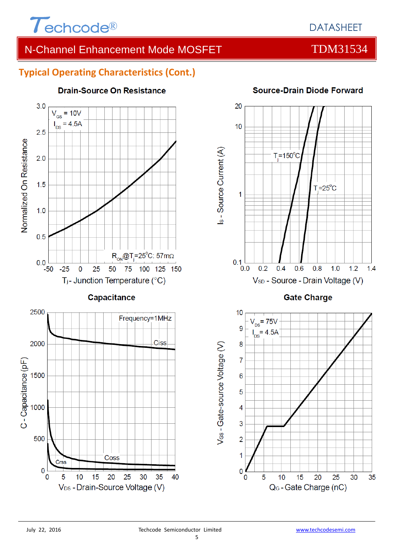

### **Typical Operating Characteristics (Cont.)**



## **Drain-Source On Resistance**



**Source-Drain Diode Forward** 

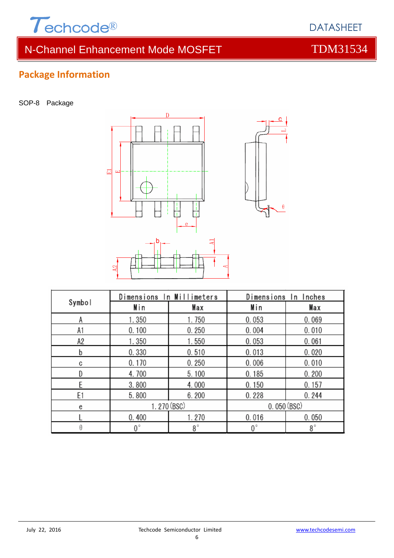

# **Package Information**

SOP-8 Package



| Symbol | Dimensions In Millimeters |           | Dimensions In Inches |           |  |
|--------|---------------------------|-----------|----------------------|-----------|--|
|        | Min                       | Max       | Min                  | Max       |  |
| А      | 1.350                     | 1.750     | 0.053                | 0.069     |  |
| A1     | 0.100                     | 0.250     | 0.004                | 0.010     |  |
| А2     | 1.350                     | 1.550     | 0.053                | 0.061     |  |
| b      | 0.330                     | 0.510     | 0.013                | 0.020     |  |
| C      | 0.170                     | 0.250     | 0.006                | 0.010     |  |
|        | 4.700                     | 5.100     | 0.185                | 0.200     |  |
|        | 3.800                     | 4.000     | 0.150                | 0.157     |  |
| E1     | 5.800                     | 6.200     | 0.228                | 0.244     |  |
| e      | 1.270 (BSC)               |           | 0.050(BSC)           |           |  |
|        | 0.400                     | 1.270     | 0.016                | 0.050     |  |
| θ      | 0°                        | $8^\circ$ | $0^{\circ}$          | $8^\circ$ |  |

DATASHEET